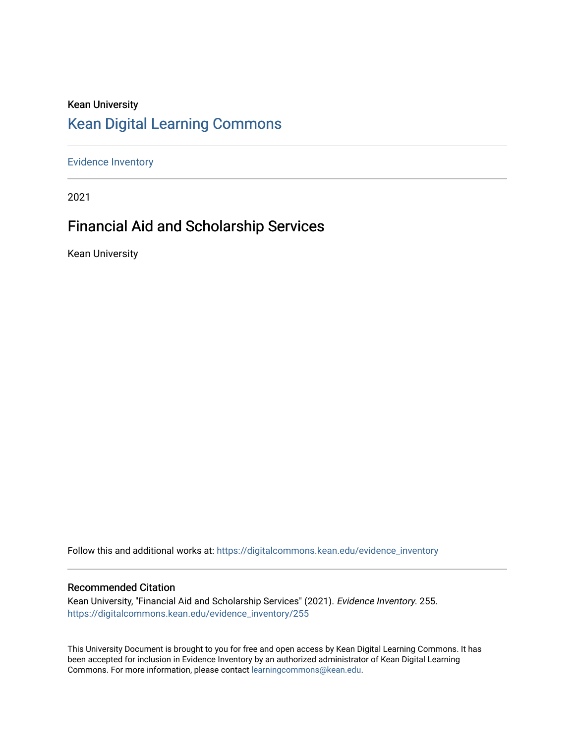### Kean University [Kean Digital Learning Commons](https://digitalcommons.kean.edu/)

[Evidence Inventory](https://digitalcommons.kean.edu/evidence_inventory) 

2021

### Financial Aid and Scholarship Services

Kean University

Follow this and additional works at: [https://digitalcommons.kean.edu/evidence\\_inventory](https://digitalcommons.kean.edu/evidence_inventory?utm_source=digitalcommons.kean.edu%2Fevidence_inventory%2F255&utm_medium=PDF&utm_campaign=PDFCoverPages)

#### Recommended Citation

Kean University, "Financial Aid and Scholarship Services" (2021). Evidence Inventory. 255. [https://digitalcommons.kean.edu/evidence\\_inventory/255](https://digitalcommons.kean.edu/evidence_inventory/255?utm_source=digitalcommons.kean.edu%2Fevidence_inventory%2F255&utm_medium=PDF&utm_campaign=PDFCoverPages)

This University Document is brought to you for free and open access by Kean Digital Learning Commons. It has been accepted for inclusion in Evidence Inventory by an authorized administrator of Kean Digital Learning Commons. For more information, please contact [learningcommons@kean.edu.](mailto:learningcommons@kean.edu)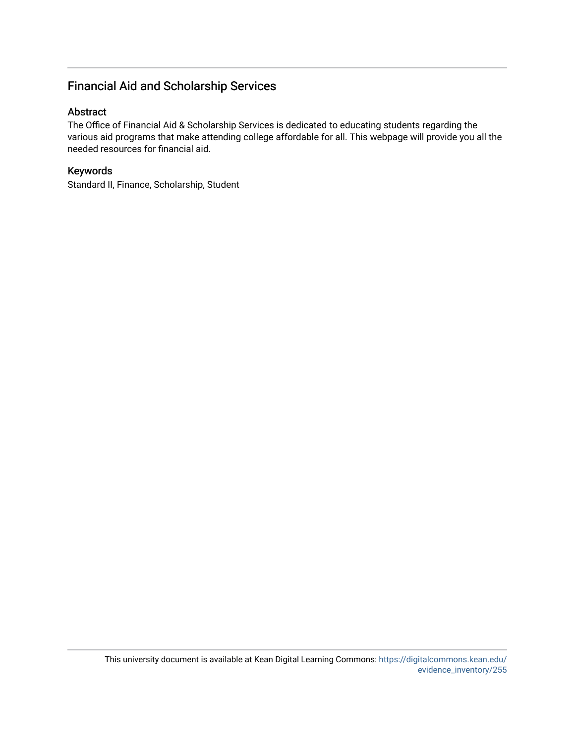#### Financial Aid and Scholarship Services

#### Abstract

The Office of Financial Aid & Scholarship Services is dedicated to educating students regarding the various aid programs that make attending college affordable for all. This webpage will provide you all the needed resources for financial aid.

#### Keywords

Standard II, Finance, Scholarship, Student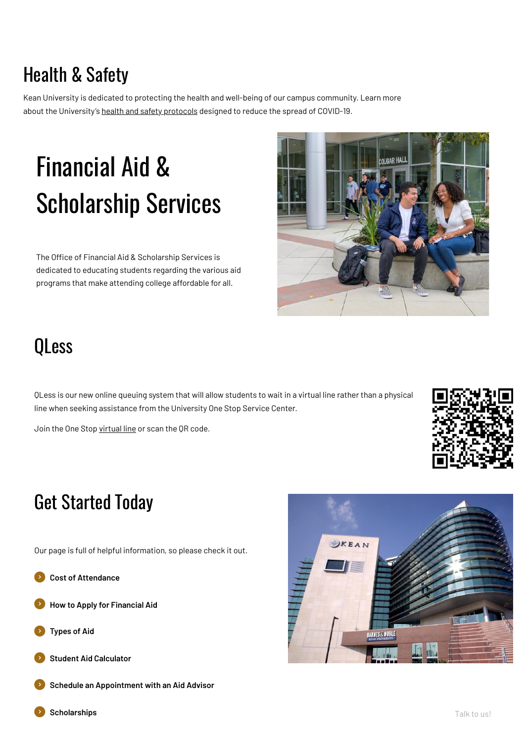## Health & Safety

Kean University is dedicated to protecting the health and well-being of our campus community. Learn more about the University's health and safety [protocols](https://www.kean.edu/health-safety-protocols) designed to reduce the spread of COVID-19.

The Office of Financial Aid & Scholarship Services is dedicated to educating students regarding the various aid programs that make attending college affordable for all.



# Financial Aid & Scholarship Services

QLess is our new online queuing system that will allow students to wait in a virtual line rather than a physical line when seeking assistance from the University One Stop Service Center.

Join the One Stop [virtual](https://kiosk.us2.qless.com/kiosk/app/home/7100000036) line or scan the QR code.



### QLess

Our page is full of helpful information, so please check it out.



### Get Started Today



### **How to Apply for [Financial](https://www.kean.edu/offices/financial-aid/how-apply-financial-aid) Aid**







**Schedule an [Appointment](https://keanfinancialaid.youcanbook.me/) with an Aid Advisor**

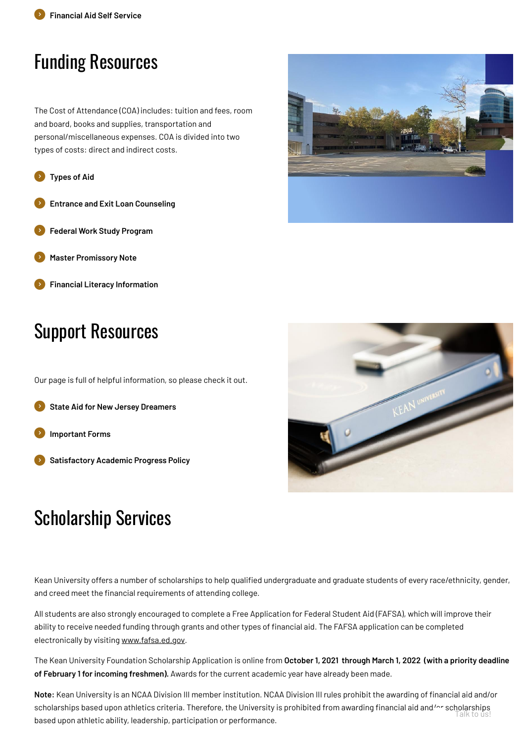The Cost of Attendance (COA) includes: tuition and fees, room and board, books and supplies, transportation and personal/miscellaneous expenses. COA is divided into two types of costs: direct and indirect costs.

### Funding Resources



- **Entrance and Exit Loan [Counseling](https://www.kean.edu/offices/financial-aid/entrance-and-exit-loan-counseling)**
- **Federal Work Study [Program](https://www.kean.edu/offices/financial-aid/federal-work-study-program)**
- **Master [Promissory](https://www.kean.edu/offices/financial-aid/master-promissory-note) Note**
- **Financial Literacy [Information](https://njhesaa.everfi-next.net/welcome/njcolleges360?show=registration&rf=002622)**

Our page is full of helpful information, so please check it out.

### Support Resources

**State Aid for New Jersey [Dreamers](https://www.hesaa.org/Pages/NJAlternativeApplication.aspx)**

**[Important](https://www.kean.edu/offices/financial-aid/financial-aid-forms) Forms**

**[Satisfactory](https://www.kean.edu/offices/financial-aid/satisfactory-academic-progress-policy) Academic Progress Policy**

**Note:** Kean University is an NCAA Division III member institution. NCAA Division III rules prohibit the awarding of financial aid and/or scholarships based upon athletics criteria. Therefore, the University is prohibited from awarding financial aid and/or scholarships based upon athletic ability, leadership, participation or performance. I alk to us!

Kean University offers a number of scholarships to help qualified undergraduate and graduate students of every race/ethnicity, gender, and creed meet the financial requirements of attending college.

All students are also strongly encouraged to complete a Free Application for Federal Student Aid (FAFSA), which will improve their ability to receive needed funding through grants and other types of financial aid. The FAFSA application can be completed electronically by visiting [www.fafsa.ed.gov.](http://www.fafsa.ed.gov/)

The Kean University Foundation Scholarship Application is online from **October 1, 2021 through March 1, 2022 (with a priority deadline of February 1 for incoming freshmen).** Awards for the current academic year have already been made.

### Scholarship Services



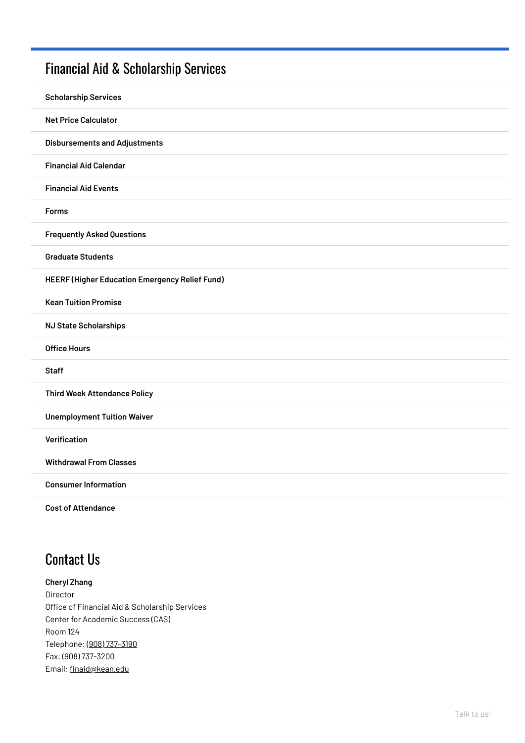### Financial Aid & [Scholarship](https://www.kean.edu/offices/financial-aid) Services

| <b>Scholarship Services</b>                    |
|------------------------------------------------|
| <b>Net Price Calculator</b>                    |
| <b>Disbursements and Adjustments</b>           |
| <b>Financial Aid Calendar</b>                  |
| <b>Financial Aid Events</b>                    |
| <b>Forms</b>                                   |
| <b>Frequently Asked Questions</b>              |
| <b>Graduate Students</b>                       |
| HEERF (Higher Education Emergency Relief Fund) |
| <b>Kean Tuition Promise</b>                    |
| <b>NJ State Scholarships</b>                   |
| <b>Office Hours</b>                            |
| <b>Staff</b>                                   |
| <b>Third Week Attendance Policy</b>            |
| <b>Unemployment Tuition Waiver</b>             |
| Verification                                   |
| <b>Withdrawal From Classes</b>                 |
| <b>Consumer Information</b>                    |
| <b>Cost of Attendance</b>                      |

### **Cheryl Zhang**

Director

Office of Financial Aid & Scholarship Services

Center for Academic Success (CAS)

Room 124

Telephone: (908) [737-3190](tel:%28908%29737-3190)

Fax: (908) 737-3200

Email: [finaid@kean.edu](mailto:finaid@kean.edu)